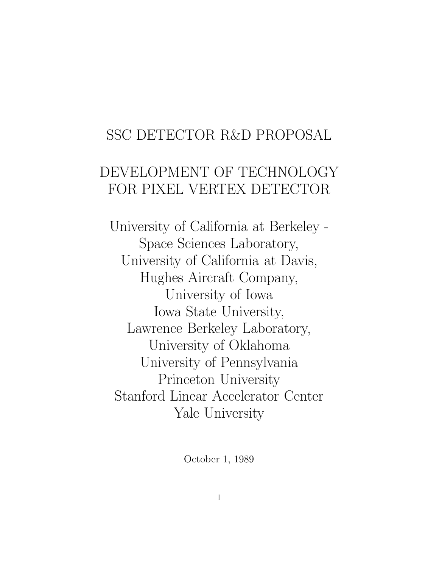# SSC DETECTOR R&D PROPOSAL

# DEVELOPMENT OF TECHNOLOGY FOR PIXEL VERTEX DETECTOR

University of California at Berkeley - Space Sciences Laboratory, University of California at Davis, Hughes Aircraft Company, University of Iowa Iowa State University, Lawrence Berkeley Laboratory, University of Oklahoma University of Pennsylvania Princeton University Stanford Linear Accelerator Center Yale University

October 1, 1989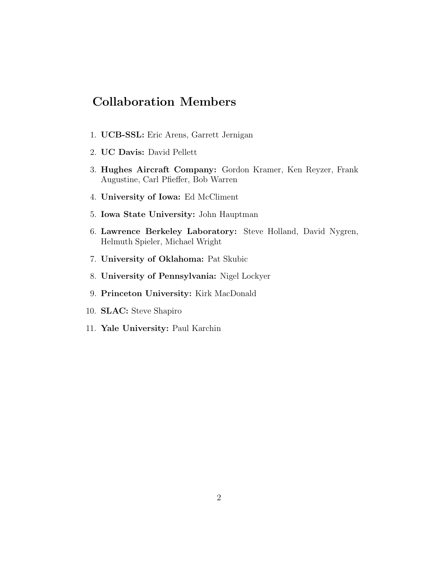### **Collaboration Members**

- 1. **UCB-SSL:** Eric Arens, Garrett Jernigan
- 2. **UC Davis:** David Pellett
- 3. **Hughes Aircraft Company:** Gordon Kramer, Ken Reyzer, Frank Augustine, Carl Pfieffer, Bob Warren
- 4. **University of Iowa:** Ed McCliment
- 5. **Iowa State University:** John Hauptman
- 6. **Lawrence Berkeley Laboratory:** Steve Holland, David Nygren, Helmuth Spieler, Michael Wright
- 7. **University of Oklahoma:** Pat Skubic
- 8. **University of Pennsylvania:** Nigel Lockyer
- 9. **Princeton University:** Kirk MacDonald
- 10. **SLAC:** Steve Shapiro
- 11. **Yale University:** Paul Karchin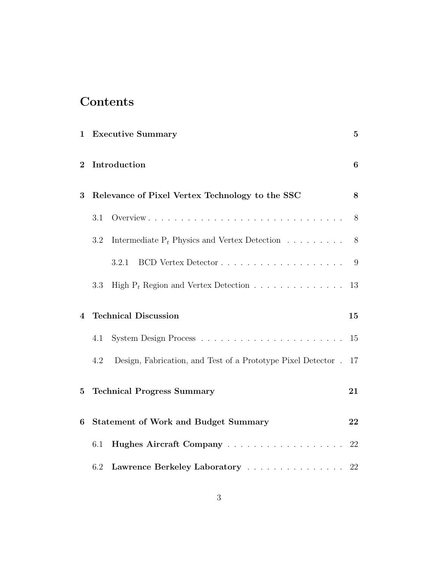# **Contents**

| $\mathbf 1$  | <b>Executive Summary</b>                                                      | $\bf{5}$ |
|--------------|-------------------------------------------------------------------------------|----------|
| $\bf{2}$     | Introduction                                                                  | 6        |
| 3            | Relevance of Pixel Vertex Technology to the SSC                               | 8        |
|              | Overview<br>3.1                                                               | 8        |
|              | 3.2<br>Intermediate $P_t$ Physics and Vertex Detection $\ldots \ldots \ldots$ | 8        |
|              | 3.2.1                                                                         | 9        |
|              | High $P_t$ Region and Vertex Detection<br>3.3                                 | 13       |
| 4            | <b>Technical Discussion</b>                                                   | 15       |
|              | 4.1                                                                           | 15       |
|              | 4.2<br>Design, Fabrication, and Test of a Prototype Pixel Detector.           | 17       |
| $\mathbf{5}$ | <b>Technical Progress Summary</b>                                             | 21       |
| 6            | <b>Statement of Work and Budget Summary</b>                                   | 22       |
|              | 6.1                                                                           | 22       |
|              | 6.2<br>Lawrence Berkeley Laboratory 22                                        |          |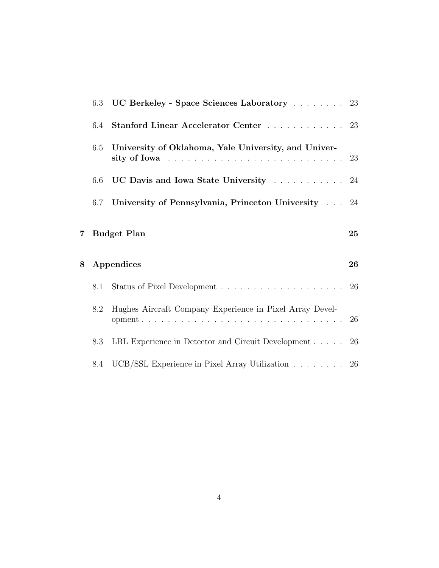|   |                   | 6.3 UC Berkeley - Space Sciences Laboratory 23                                                                                        |    |
|---|-------------------|---------------------------------------------------------------------------------------------------------------------------------------|----|
|   | 6.4               | Stanford Linear Accelerator Center 23                                                                                                 |    |
|   | 6.5               | University of Oklahoma, Yale University, and Univer-<br>sity of Iowa $\ldots \ldots \ldots \ldots \ldots \ldots \ldots \ldots \ldots$ | 23 |
|   | 6.6               | UC Davis and Iowa State University 24                                                                                                 |    |
|   |                   | 6.7 University of Pennsylvania, Princeton University  24                                                                              |    |
| 7 |                   | <b>Budget Plan</b>                                                                                                                    | 25 |
| 8 | <b>Appendices</b> |                                                                                                                                       |    |
|   | 8.1               |                                                                                                                                       |    |
|   | 8.2               | Hughes Aircraft Company Experience in Pixel Array Devel-                                                                              |    |
|   |                   |                                                                                                                                       |    |
|   | 8.3               | LBL Experience in Detector and Circuit Development 26                                                                                 |    |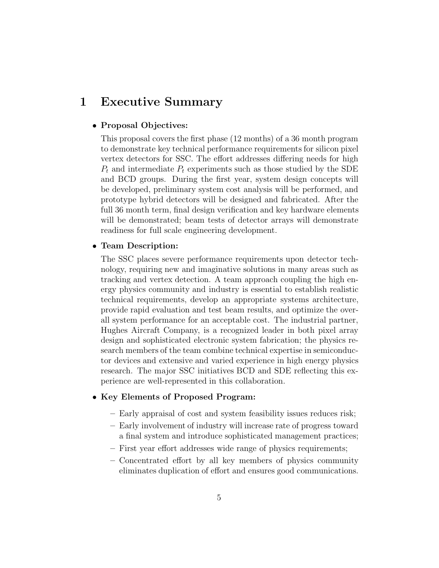### **1 Executive Summary**

#### • **Proposal Objectives:**

This proposal covers the first phase (12 months) of a 36 month program to demonstrate key technical performance requirements for silicon pixel vertex detectors for SSC. The effort addresses differing needs for high  $P_t$  and intermediate  $P_t$  experiments such as those studied by the SDE and BCD groups. During the first year, system design concepts will be developed, preliminary system cost analysis will be performed, and prototype hybrid detectors will be designed and fabricated. After the full 36 month term, final design verification and key hardware elements will be demonstrated; beam tests of detector arrays will demonstrate readiness for full scale engineering development.

#### • **Team Description:**

The SSC places severe performance requirements upon detector technology, requiring new and imaginative solutions in many areas such as tracking and vertex detection. A team approach coupling the high energy physics community and industry is essential to establish realistic technical requirements, develop an appropriate systems architecture, provide rapid evaluation and test beam results, and optimize the overall system performance for an acceptable cost. The industrial partner, Hughes Aircraft Company, is a recognized leader in both pixel array design and sophisticated electronic system fabrication; the physics research members of the team combine technical expertise in semiconductor devices and extensive and varied experience in high energy physics research. The major SSC initiatives BCD and SDE reflecting this experience are well-represented in this collaboration.

#### • **Key Elements of Proposed Program:**

- **–** Early appraisal of cost and system feasibility issues reduces risk;
- **–** Early involvement of industry will increase rate of progress toward a final system and introduce sophisticated management practices;
- **–** First year effort addresses wide range of physics requirements;
- **–** Concentrated effort by all key members of physics community eliminates duplication of effort and ensures good communications.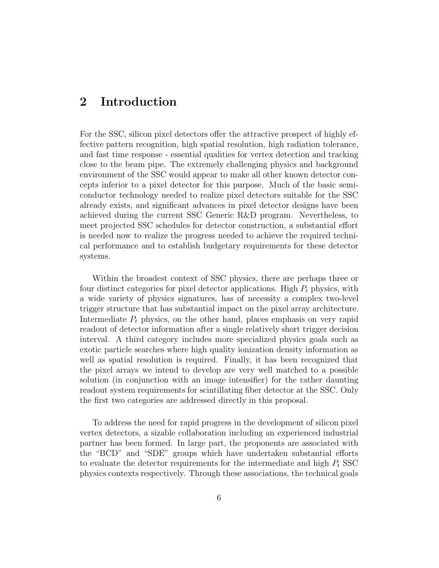### **2 Introduction**

For the SSC, silicon pixel detectors offer the attractive prospect of highly effective pattern recognition, high spatial resolution, high radiation tolerance, and fast time response - essential qualities for vertex detection and tracking close to the beam pipe. The extremely challenging physics and background environment of the SSC would appear to make all other known detector concepts inferior to a pixel detector for this purpose. Much of the basic semiconductor technology needed to realize pixel detectors suitable for the SSC already exists, and significant advances in pixel detector designs have been achieved during the current SSC Generic R&D program. Nevertheless, to meet projected SSC schedules for detector construction, a substantial effort is needed now to realize the progress needed to achieve the required technical performance and to establish budgetary requirements for these detector systems.

Within the broadest context of SSC physics, there are perhaps three or four distinct categories for pixel detector applications. High P*<sup>t</sup>* physics, with a wide variety of physics signatures, has of necessity a complex two-level trigger structure that has substantial impact on the pixel array architecture. Intermediate P*<sup>t</sup>* physics, on the other hand, places emphasis on very rapid readout of detector information after a single relatively short trigger decision interval. A third category includes more specialized physics goals such as exotic particle searches where high quality ionization density information as well as spatial resolution is required. Finally, it has been recognized that the pixel arrays we intend to develop are very well matched to a possible solution (in conjunction with an image intensifier) for the rather daunting readout system requirements for scintillating fiber detector at the SSC. Only the first two categories are addressed directly in this proposal.

To address the need for rapid progress in the development of silicon pixel vertex detectors, a sizable collaboration including an experienced industrial partner has been formed. In large part, the proponents are associated with the "BCD" and "SDE" groups which have undertaken substantial efforts to evaluate the detector requirements for the intermediate and high P*<sup>t</sup>* SSC physics contexts respectively. Through these associations, the technical goals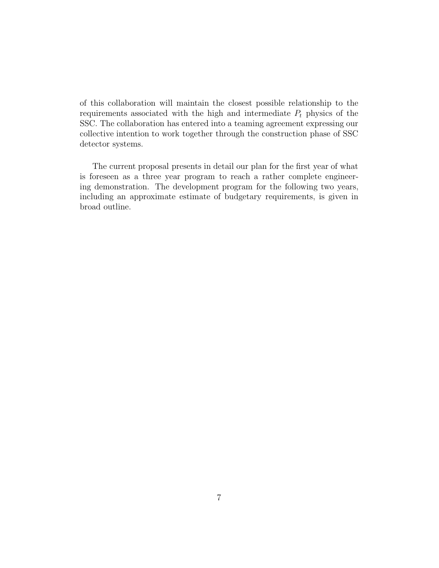of this collaboration will maintain the closest possible relationship to the requirements associated with the high and intermediate P*<sup>t</sup>* physics of the SSC. The collaboration has entered into a teaming agreement expressing our collective intention to work together through the construction phase of SSC detector systems.

The current proposal presents in detail our plan for the first year of what is foreseen as a three year program to reach a rather complete engineering demonstration. The development program for the following two years, including an approximate estimate of budgetary requirements, is given in broad outline.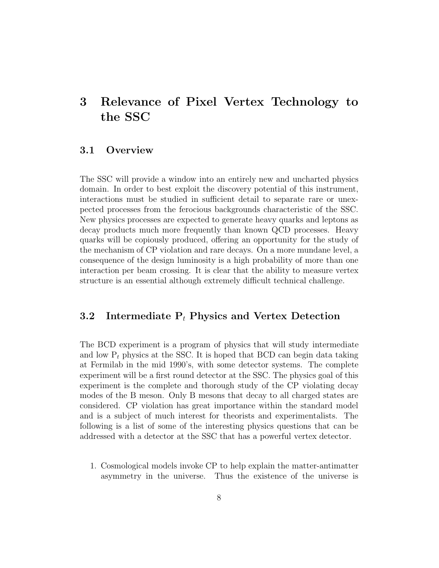## **3 Relevance of Pixel Vertex Technology to the SSC**

#### **3.1 Overview**

The SSC will provide a window into an entirely new and uncharted physics domain. In order to best exploit the discovery potential of this instrument, interactions must be studied in sufficient detail to separate rare or unexpected processes from the ferocious backgrounds characteristic of the SSC. New physics processes are expected to generate heavy quarks and leptons as decay products much more frequently than known QCD processes. Heavy quarks will be copiously produced, offering an opportunity for the study of the mechanism of CP violation and rare decays. On a more mundane level, a consequence of the design luminosity is a high probability of more than one interaction per beam crossing. It is clear that the ability to measure vertex structure is an essential although extremely difficult technical challenge.

#### **3.2 Intermediate P***<sup>t</sup>* **Physics and Vertex Detection**

The BCD experiment is a program of physics that will study intermediate and low  $P_t$  physics at the SSC. It is hoped that BCD can begin data taking at Fermilab in the mid 1990's, with some detector systems. The complete experiment will be a first round detector at the SSC. The physics goal of this experiment is the complete and thorough study of the CP violating decay modes of the B meson. Only B mesons that decay to all charged states are considered. CP violation has great importance within the standard model and is a subject of much interest for theorists and experimentalists. The following is a list of some of the interesting physics questions that can be addressed with a detector at the SSC that has a powerful vertex detector.

1. Cosmological models invoke CP to help explain the matter-antimatter asymmetry in the universe. Thus the existence of the universe is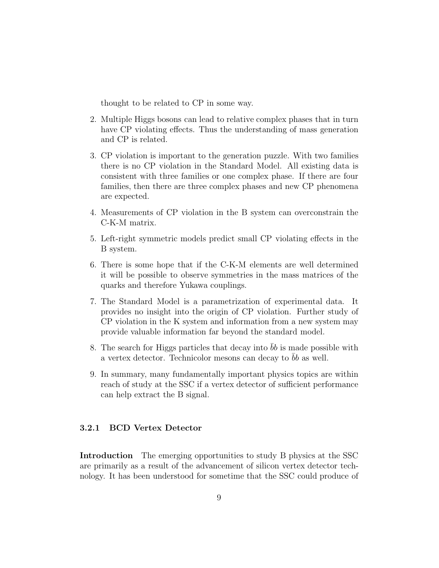thought to be related to CP in some way.

- 2. Multiple Higgs bosons can lead to relative complex phases that in turn have CP violating effects. Thus the understanding of mass generation and CP is related.
- 3. CP violation is important to the generation puzzle. With two families there is no CP violation in the Standard Model. All existing data is consistent with three families or one complex phase. If there are four families, then there are three complex phases and new CP phenomena are expected.
- 4. Measurements of CP violation in the B system can overconstrain the C-K-M matrix.
- 5. Left-right symmetric models predict small CP violating effects in the B system.
- 6. There is some hope that if the C-K-M elements are well determined it will be possible to observe symmetries in the mass matrices of the quarks and therefore Yukawa couplings.
- 7. The Standard Model is a parametrization of experimental data. It provides no insight into the origin of CP violation. Further study of CP violation in the K system and information from a new system may provide valuable information far beyond the standard model.
- 8. The search for Higgs particles that decay into  $bb$  is made possible with a vertex detector. Technicolor mesons can decay to bb as well.
- 9. In summary, many fundamentally important physics topics are within reach of study at the SSC if a vertex detector of sufficient performance can help extract the B signal.

#### **3.2.1 BCD Vertex Detector**

**Introduction** The emerging opportunities to study B physics at the SSC are primarily as a result of the advancement of silicon vertex detector technology. It has been understood for sometime that the SSC could produce of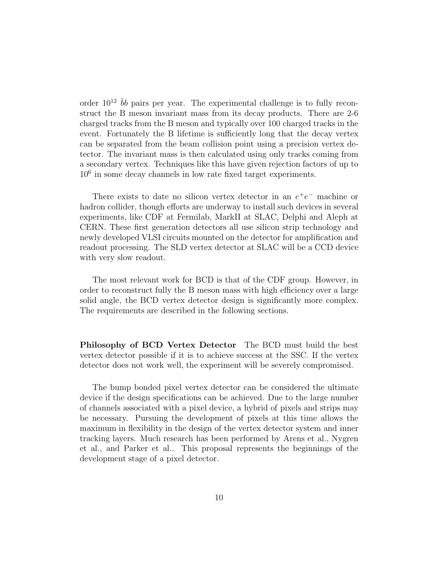order  $10^{12}$   $\bar{b}b$  pairs per year. The experimental challenge is to fully reconstruct the B meson invariant mass from its decay products. There are 2-6 charged tracks from the B meson and typically over 100 charged tracks in the event. Fortunately the B lifetime is sufficiently long that the decay vertex can be separated from the beam collision point using a precision vertex detector. The invariant mass is then calculated using only tracks coming from a secondary vertex. Techniques like this have given rejection factors of up to  $10<sup>6</sup>$  in some decay channels in low rate fixed target experiments.

There exists to date no silicon vertex detector in an  $e^+e^-$  machine or hadron collider, though efforts are underway to install such devices in several experiments, like CDF at Fermilab, MarkII at SLAC, Delphi and Aleph at CERN. These first generation detectors all use silicon strip technology and newly developed VLSI circuits mounted on the detector for amplification and readout processing. The SLD vertex detector at SLAC will be a CCD device with very slow readout.

The most relevant work for BCD is that of the CDF group. However, in order to reconstruct fully the B meson mass with high efficiency over a large solid angle, the BCD vertex detector design is significantly more complex. The requirements are described in the following sections.

**Philosophy of BCD Vertex Detector** The BCD must build the best vertex detector possible if it is to achieve success at the SSC. If the vertex detector does not work well, the experiment will be severely compromised.

The bump bonded pixel vertex detector can be considered the ultimate device if the design specifications can be achieved. Due to the large number of channels associated with a pixel device, a hybrid of pixels and strips may be necessary. Pursuing the development of pixels at this time allows the maximum in flexibility in the design of the vertex detector system and inner tracking layers. Much research has been performed by Arens et al., Nygren et al., and Parker et al.. This proposal represents the beginnings of the development stage of a pixel detector.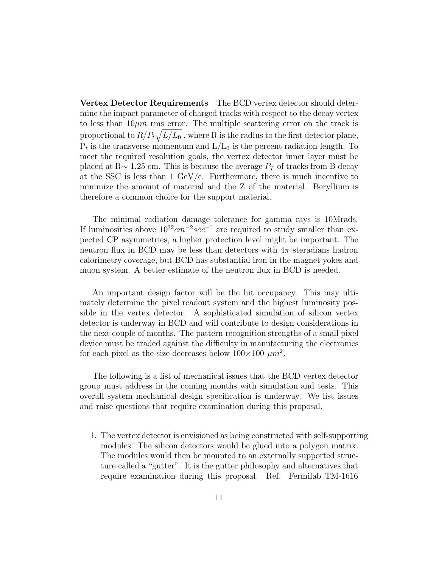**Vertex Detector Requirements** The BCD vertex detector should determine the impact parameter of charged tracks with respect to the decay vertex to less than  $10\mu m$  rms error. The multiple scattering error on the track is proportional to  $R/P_t\sqrt{L/L_0}$  , where R is the radius to the first detector plane,  $P_t$  is the transverse momentum and  $L/L_0$  is the percent radiation length. To meet the required resolution goals, the vertex detector inner layer must be placed at R<sup>∼</sup> <sup>1</sup>.25 cm. This is because the average <sup>P</sup>*<sup>T</sup>* of tracks from B decay at the SSC is less than  $1 \text{ GeV/c}$ . Furthermore, there is much incentive to minimize the amount of material and the Z of the material. Beryllium is therefore a common choice for the support material.

The minimal radiation damage tolerance for gamma rays is 10Mrads. If luminosities above  $10^{32}$ cm<sup>-2</sup>sec<sup>-1</sup> are required to study smaller than expected CP asymmetries, a higher protection level might be important. The neutron flux in BCD may be less than detectors with  $4\pi$  steradians hadron calorimetry coverage, but BCD has substantial iron in the magnet yokes and muon system. A better estimate of the neutron flux in BCD is needed.

An important design factor will be the hit occupancy. This may ultimately determine the pixel readout system and the highest luminosity possible in the vertex detector. A sophisticated simulation of silicon vertex detector is underway in BCD and will contribute to design considerations in the next couple of months. The pattern recognition strengths of a small pixel device must be traded against the difficulty in manufacturing the electronics for each pixel as the size decreases below  $100\times100~\mu m^2$ .

The following is a list of mechanical issues that the BCD vertex detector group must address in the coming months with simulation and tests. This overall system mechanical design specification is underway. We list issues and raise questions that require examination during this proposal.

1. The vertex detector is envisioned as being constructed with self-supporting modules. The silicon detectors would be glued into a polygon matrix. The modules would then be mounted to an externally supported structure called a "gutter". It is the gutter philosophy and alternatives that require examination during this proposal. Ref. Fermilab TM-1616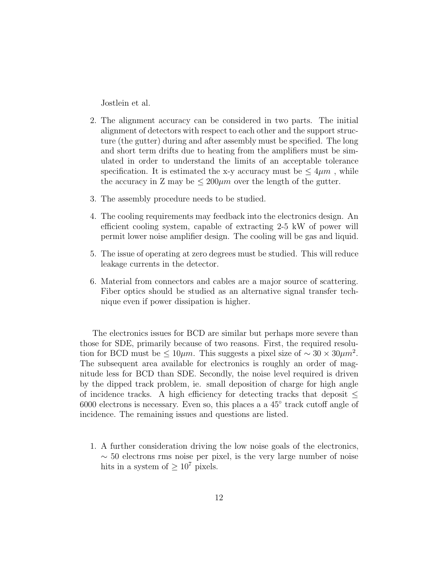Jostlein et al.

- 2. The alignment accuracy can be considered in two parts. The initial alignment of detectors with respect to each other and the support structure (the gutter) during and after assembly must be specified. The long and short term drifts due to heating from the amplifiers must be simulated in order to understand the limits of an acceptable tolerance specification. It is estimated the x-y accuracy must be  $\leq 4\mu m$ , while the accuracy in Z may be  $\leq 200 \mu m$  over the length of the gutter.
- 3. The assembly procedure needs to be studied.
- 4. The cooling requirements may feedback into the electronics design. An efficient cooling system, capable of extracting 2-5 kW of power will permit lower noise amplifier design. The cooling will be gas and liquid.
- 5. The issue of operating at zero degrees must be studied. This will reduce leakage currents in the detector.
- 6. Material from connectors and cables are a major source of scattering. Fiber optics should be studied as an alternative signal transfer technique even if power dissipation is higher.

The electronics issues for BCD are similar but perhaps more severe than those for SDE, primarily because of two reasons. First, the required resolution for BCD must be  $\leq 10 \mu m$ . This suggests a pixel size of  $\sim 30 \times 30 \mu m^2$ . The subsequent area available for electronics is roughly an order of magnitude less for BCD than SDE. Secondly, the noise level required is driven by the dipped track problem, ie. small deposition of charge for high angle of incidence tracks. A high efficiency for detecting tracks that deposit  $\leq$ 6000 electrons is necessary. Even so, this places a a 45◦ track cutoff angle of incidence. The remaining issues and questions are listed.

1. A further consideration driving the low noise goals of the electronics,  $\sim$  50 electrons rms noise per pixel, is the very large number of noise hits in a system of  $> 10^7$  pixels.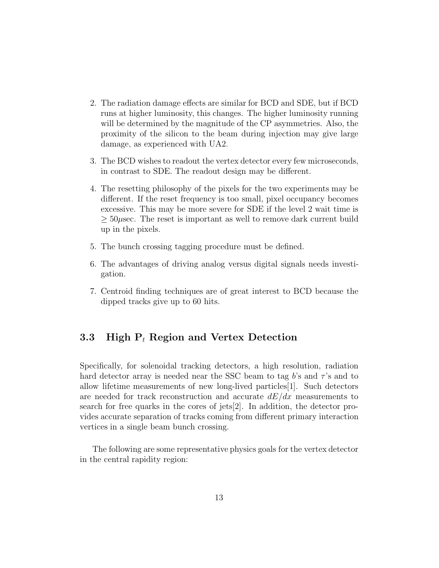- 2. The radiation damage effects are similar for BCD and SDE, but if BCD runs at higher luminosity, this changes. The higher luminosity running will be determined by the magnitude of the CP asymmetries. Also, the proximity of the silicon to the beam during injection may give large damage, as experienced with UA2.
- 3. The BCD wishes to readout the vertex detector every few microseconds, in contrast to SDE. The readout design may be different.
- 4. The resetting philosophy of the pixels for the two experiments may be different. If the reset frequency is too small, pixel occupancy becomes excessive. This may be more severe for SDE if the level 2 wait time is  $\geq 50\mu$ sec. The reset is important as well to remove dark current build up in the pixels.
- 5. The bunch crossing tagging procedure must be defined.
- 6. The advantages of driving analog versus digital signals needs investigation.
- 7. Centroid finding techniques are of great interest to BCD because the dipped tracks give up to 60 hits.

#### **3.3 High P***<sup>t</sup>* **Region and Vertex Detection**

Specifically, for solenoidal tracking detectors, a high resolution, radiation hard detector array is needed near the SSC beam to tag b's and  $\tau$ 's and to allow lifetime measurements of new long-lived particles[1]. Such detectors are needed for track reconstruction and accurate  $dE/dx$  measurements to search for free quarks in the cores of jets[2]. In addition, the detector provides accurate separation of tracks coming from different primary interaction vertices in a single beam bunch crossing.

The following are some representative physics goals for the vertex detector in the central rapidity region: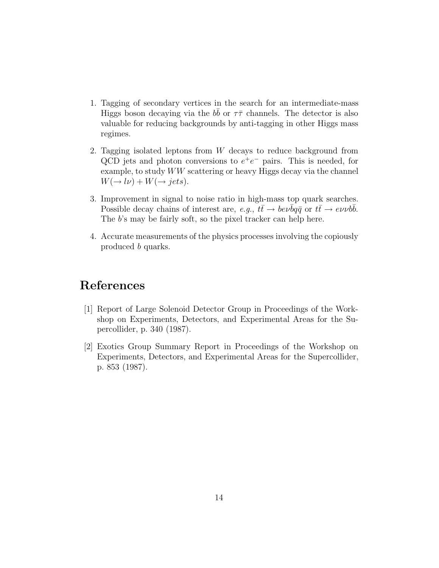- 1. Tagging of secondary vertices in the search for an intermediate-mass Higgs boson decaying via the bb or  $\tau\bar{\tau}$  channels. The detector is also valuable for reducing backgrounds by anti-tagging in other Higgs mass regimes.
- 2. Tagging isolated leptons from W decays to reduce background from QCD jets and photon conversions to  $e^+e^-$  pairs. This is needed, for example, to study WW scattering or heavy Higgs decay via the channel  $W(\rightarrow l\nu) + W(\rightarrow jets).$
- 3. Improvement in signal to noise ratio in high-mass top quark searches. Possible decay chains of interest are, *e.g.*,  $t\bar{t} \to be \nu \bar{b} q \bar{q}$  or  $t\bar{t} \to e \nu \nu b \bar{b}$ .<br>The *b*'s may be fairly soft, so the pixel tracker can belp here The b's may be fairly soft, so the pixel tracker can help here.
- 4. Accurate measurements of the physics processes involving the copiously produced b quarks.

### **References**

- [1] Report of Large Solenoid Detector Group in Proceedings of the Workshop on Experiments, Detectors, and Experimental Areas for the Supercollider, p. 340 (1987).
- [2] Exotics Group Summary Report in Proceedings of the Workshop on Experiments, Detectors, and Experimental Areas for the Supercollider, p. 853 (1987).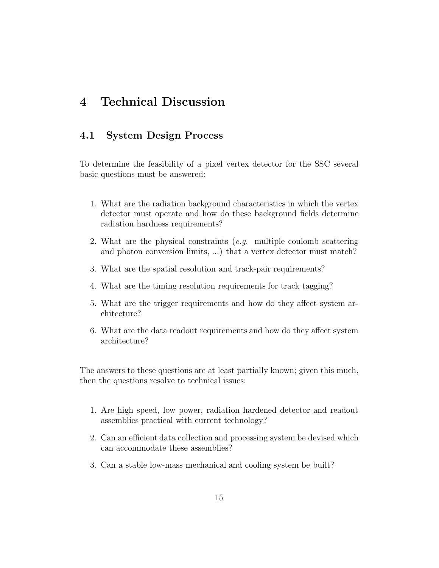### **4 Technical Discussion**

#### **4.1 System Design Process**

To determine the feasibility of a pixel vertex detector for the SSC several basic questions must be answered:

- 1. What are the radiation background characteristics in which the vertex detector must operate and how do these background fields determine radiation hardness requirements?
- 2. What are the physical constraints (*e.g.* multiple coulomb scattering and photon conversion limits, ...) that a vertex detector must match?
- 3. What are the spatial resolution and track-pair requirements?
- 4. What are the timing resolution requirements for track tagging?
- 5. What are the trigger requirements and how do they affect system architecture?
- 6. What are the data readout requirements and how do they affect system architecture?

The answers to these questions are at least partially known; given this much, then the questions resolve to technical issues:

- 1. Are high speed, low power, radiation hardened detector and readout assemblies practical with current technology?
- 2. Can an efficient data collection and processing system be devised which can accommodate these assemblies?
- 3. Can a stable low-mass mechanical and cooling system be built?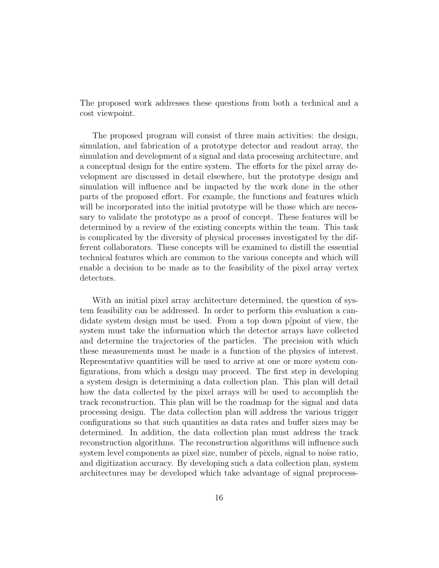The proposed work addresses these questions from both a technical and a cost viewpoint.

The proposed program will consist of three main activities: the design, simulation, and fabrication of a prototype detector and readout array, the simulation and development of a signal and data processing architecture, and a conceptual design for the entire system. The efforts for the pixel array development are discussed in detail elsewhere, but the prototype design and simulation will influence and be impacted by the work done in the other parts of the proposed effort. For example, the functions and features which will be incorporated into the initial prototype will be those which are necessary to validate the prototype as a proof of concept. These features will be determined by a review of the existing concepts within the team. This task is complicated by the diversity of physical processes investigated by the different collaborators. These concepts will be examined to distill the essential technical features which are common to the various concepts and which will enable a decision to be made as to the feasibility of the pixel array vertex detectors.

With an initial pixel array architecture determined, the question of system feasibility can be addressed. In order to perform this evaluation a candidate system design must be used. From a top down p[point of view, the system must take the information which the detector arrays have collected and determine the trajectories of the particles. The precision with which these measurements must be made is a function of the physics of interest. Representative quantities will be used to arrive at one or more system configurations, from which a design may proceed. The first step in developing a system design is determining a data collection plan. This plan will detail how the data collected by the pixel arrays will be used to accomplish the track reconstruction. This plan will be the roadmap for the signal and data processing design. The data collection plan will address the various trigger configurations so that such quantities as data rates and buffer sizes may be determined. In addition, the data collection plan must address the track reconstruction algorithms. The reconstruction algorithms will influence such system level components as pixel size, number of pixels, signal to noise ratio, and digitization accuracy. By developing such a data collection plan, system architectures may be developed which take advantage of signal preprocess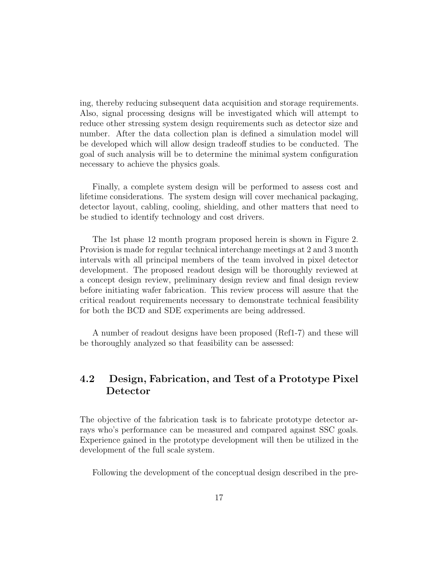ing, thereby reducing subsequent data acquisition and storage requirements. Also, signal processing designs will be investigated which will attempt to reduce other stressing system design requirements such as detector size and number. After the data collection plan is defined a simulation model will be developed which will allow design tradeoff studies to be conducted. The goal of such analysis will be to determine the minimal system configuration necessary to achieve the physics goals.

Finally, a complete system design will be performed to assess cost and lifetime considerations. The system design will cover mechanical packaging, detector layout, cabling, cooling, shielding, and other matters that need to be studied to identify technology and cost drivers.

The 1st phase 12 month program proposed herein is shown in Figure 2. Provision is made for regular technical interchange meetings at 2 and 3 month intervals with all principal members of the team involved in pixel detector development. The proposed readout design will be thoroughly reviewed at a concept design review, preliminary design review and final design review before initiating wafer fabrication. This review process will assure that the critical readout requirements necessary to demonstrate technical feasibility for both the BCD and SDE experiments are being addressed.

A number of readout designs have been proposed (Ref1-7) and these will be thoroughly analyzed so that feasibility can be assessed:

### **4.2 Design, Fabrication, and Test of a Prototype Pixel Detector**

The objective of the fabrication task is to fabricate prototype detector arrays who's performance can be measured and compared against SSC goals. Experience gained in the prototype development will then be utilized in the development of the full scale system.

Following the development of the conceptual design described in the pre-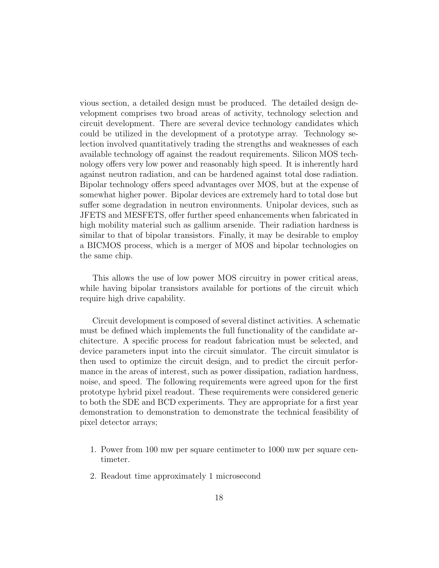vious section, a detailed design must be produced. The detailed design development comprises two broad areas of activity, technology selection and circuit development. There are several device technology candidates which could be utilized in the development of a prototype array. Technology selection involved quantitatively trading the strengths and weaknesses of each available technology off against the readout requirements. Silicon MOS technology offers very low power and reasonably high speed. It is inherently hard against neutron radiation, and can be hardened against total dose radiation. Bipolar technology offers speed advantages over MOS, but at the expense of somewhat higher power. Bipolar devices are extremely hard to total dose but suffer some degradation in neutron environments. Unipolar devices, such as JFETS and MESFETS, offer further speed enhancements when fabricated in high mobility material such as gallium arsenide. Their radiation hardness is similar to that of bipolar transistors. Finally, it may be desirable to employ a BICMOS process, which is a merger of MOS and bipolar technologies on the same chip.

This allows the use of low power MOS circuitry in power critical areas, while having bipolar transistors available for portions of the circuit which require high drive capability.

Circuit development is composed of several distinct activities. A schematic must be defined which implements the full functionality of the candidate architecture. A specific process for readout fabrication must be selected, and device parameters input into the circuit simulator. The circuit simulator is then used to optimize the circuit design, and to predict the circuit performance in the areas of interest, such as power dissipation, radiation hardness, noise, and speed. The following requirements were agreed upon for the first prototype hybrid pixel readout. These requirements were considered generic to both the SDE and BCD experiments. They are appropriate for a first year demonstration to demonstration to demonstrate the technical feasibility of pixel detector arrays;

- 1. Power from 100 mw per square centimeter to 1000 mw per square centimeter.
- 2. Readout time approximately 1 microsecond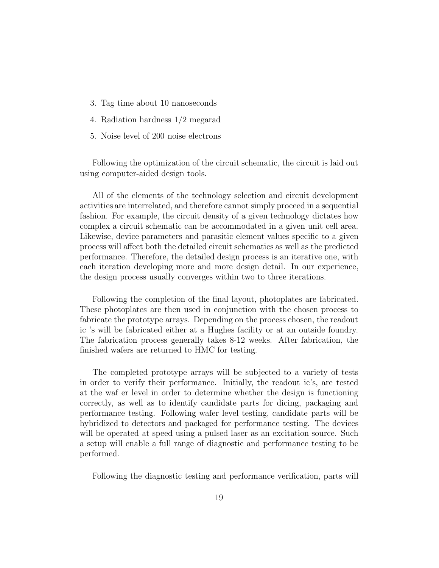- 3. Tag time about 10 nanoseconds
- 4. Radiation hardness 1/2 megarad
- 5. Noise level of 200 noise electrons

Following the optimization of the circuit schematic, the circuit is laid out using computer-aided design tools.

All of the elements of the technology selection and circuit development activities are interrelated, and therefore cannot simply proceed in a sequential fashion. For example, the circuit density of a given technology dictates how complex a circuit schematic can be accommodated in a given unit cell area. Likewise, device parameters and parasitic element values specific to a given process will affect both the detailed circuit schematics as well as the predicted performance. Therefore, the detailed design process is an iterative one, with each iteration developing more and more design detail. In our experience, the design process usually converges within two to three iterations.

Following the completion of the final layout, photoplates are fabricated. These photoplates are then used in conjunction with the chosen process to fabricate the prototype arrays. Depending on the process chosen, the readout ic 's will be fabricated either at a Hughes facility or at an outside foundry. The fabrication process generally takes 8-12 weeks. After fabrication, the finished wafers are returned to HMC for testing.

The completed prototype arrays will be subjected to a variety of tests in order to verify their performance. Initially, the readout ic's, are tested at the waf er level in order to determine whether the design is functioning correctly, as well as to identify candidate parts for dicing, packaging and performance testing. Following wafer level testing, candidate parts will be hybridized to detectors and packaged for performance testing. The devices will be operated at speed using a pulsed laser as an excitation source. Such a setup will enable a full range of diagnostic and performance testing to be performed.

Following the diagnostic testing and performance verification, parts will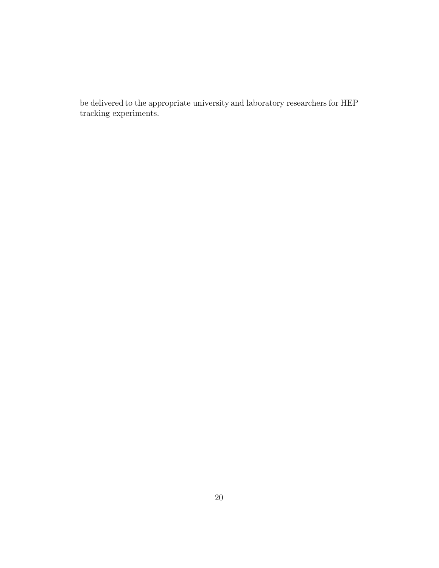be delivered to the appropriate university and laboratory researchers for HEP tracking experiments.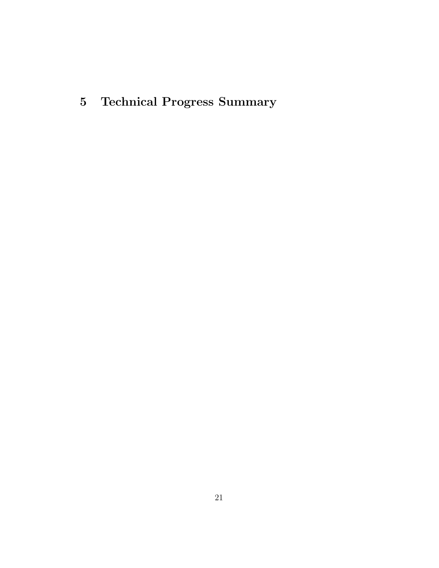**5 Technical Progress Summary**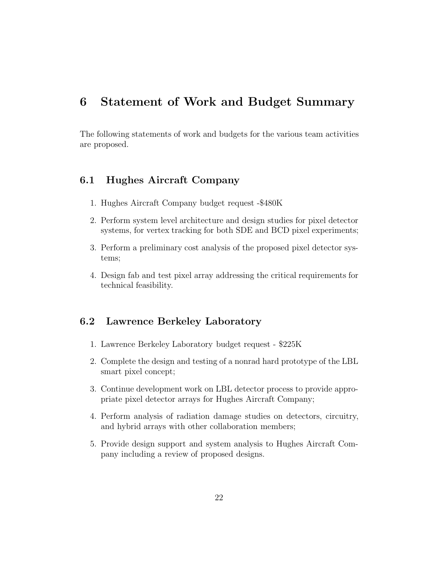### **6 Statement of Work and Budget Summary**

The following statements of work and budgets for the various team activities are proposed.

### **6.1 Hughes Aircraft Company**

- 1. Hughes Aircraft Company budget request -\$480K
- 2. Perform system level architecture and design studies for pixel detector systems, for vertex tracking for both SDE and BCD pixel experiments;
- 3. Perform a preliminary cost analysis of the proposed pixel detector systems;
- 4. Design fab and test pixel array addressing the critical requirements for technical feasibility.

### **6.2 Lawrence Berkeley Laboratory**

- 1. Lawrence Berkeley Laboratory budget request \$225K
- 2. Complete the design and testing of a nonrad hard prototype of the LBL smart pixel concept;
- 3. Continue development work on LBL detector process to provide appropriate pixel detector arrays for Hughes Aircraft Company;
- 4. Perform analysis of radiation damage studies on detectors, circuitry, and hybrid arrays with other collaboration members;
- 5. Provide design support and system analysis to Hughes Aircraft Company including a review of proposed designs.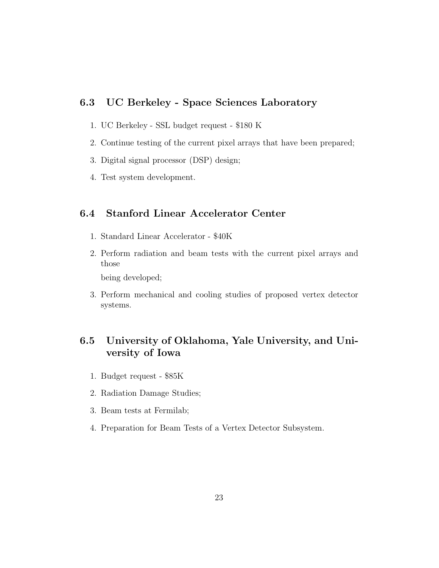#### **6.3 UC Berkeley - Space Sciences Laboratory**

- 1. UC Berkeley SSL budget request \$180 K
- 2. Continue testing of the current pixel arrays that have been prepared;
- 3. Digital signal processor (DSP) design;
- 4. Test system development.

### **6.4 Stanford Linear Accelerator Center**

- 1. Standard Linear Accelerator \$40K
- 2. Perform radiation and beam tests with the current pixel arrays and those

being developed;

3. Perform mechanical and cooling studies of proposed vertex detector systems.

### **6.5 University of Oklahoma, Yale University, and University of Iowa**

- 1. Budget request \$85K
- 2. Radiation Damage Studies;
- 3. Beam tests at Fermilab;
- 4. Preparation for Beam Tests of a Vertex Detector Subsystem.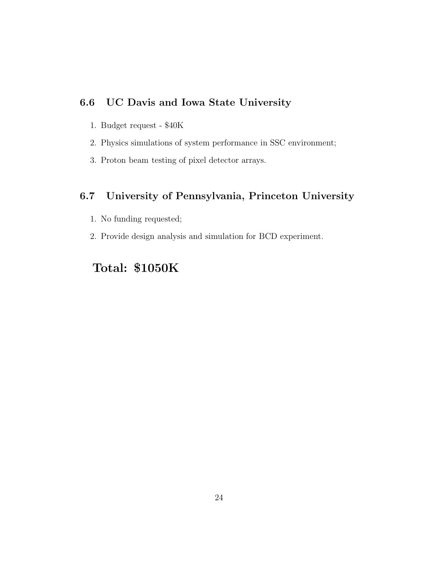### **6.6 UC Davis and Iowa State University**

- 1. Budget request \$40K
- 2. Physics simulations of system performance in SSC environment;
- 3. Proton beam testing of pixel detector arrays.

### **6.7 University of Pennsylvania, Princeton University**

- 1. No funding requested;
- 2. Provide design analysis and simulation for BCD experiment.

## **Total: \$1050K**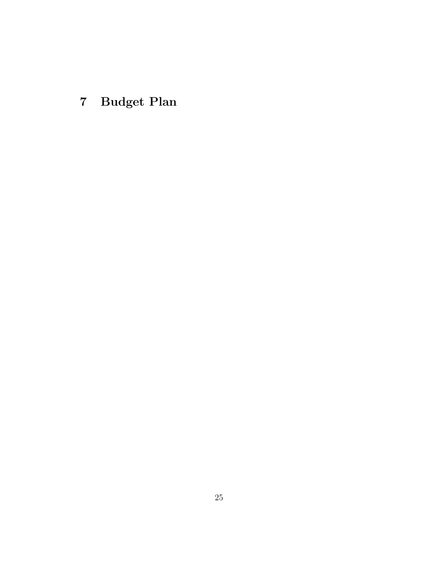**7 Budget Plan**